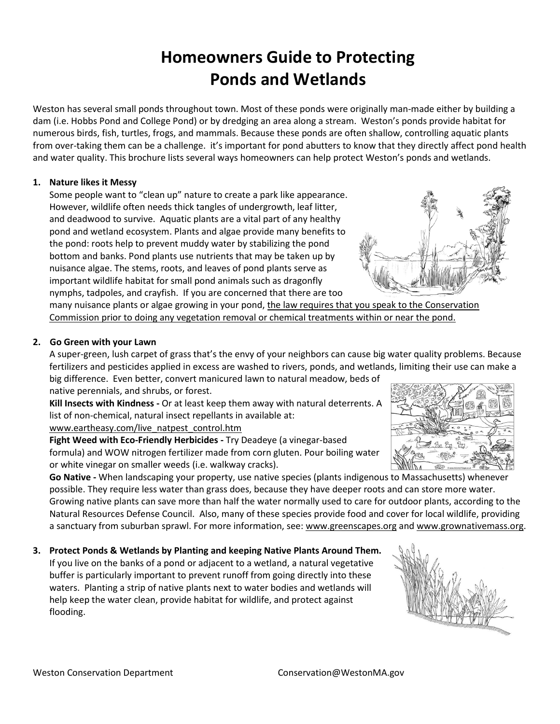# **Homeowners Guide to Protecting Ponds and Wetlands**

Weston has several small ponds throughout town. Most of these ponds were originally man-made either by building a dam (i.e. Hobbs Pond and College Pond) or by dredging an area along a stream. Weston's ponds provide habitat for numerous birds, fish, turtles, frogs, and mammals. Because these ponds are often shallow, controlling aquatic plants from over-taking them can be a challenge. it's important for pond abutters to know that they directly affect pond health and water quality. This brochure lists several ways homeowners can help protect Weston's ponds and wetlands.

# **1. Nature likes it Messy**

Some people want to "clean up" nature to create a park like appearance. However, wildlife often needs thick tangles of undergrowth, leaf litter, and deadwood to survive. Aquatic plants are a vital part of any healthy pond and wetland ecosystem. Plants and algae provide many benefits to the pond: roots help to prevent muddy water by stabilizing the pond bottom and banks. Pond plants use nutrients that may be taken up by nuisance algae. The stems, roots, and leaves of pond plants serve as important wildlife habitat for small pond animals such as dragonfly nymphs, tadpoles, and crayfish. If you are concerned that there are too



many nuisance plants or algae growing in your pond, the law requires that you speak to the Conservation Commission prior to doing any vegetation removal or chemical treatments within or near the pond.

### **2. Go Green with your Lawn**

A super-green, lush carpet of grass that's the envy of your neighbors can cause big water quality problems. Because fertilizers and pesticides applied in excess are washed to rivers, ponds, and wetlands, limiting their use can make a

big difference. Even better, convert manicured lawn to natural meadow, beds of native perennials, and shrubs, or forest.

**Kill Insects with Kindness -** Or at least keep them away with natural deterrents. A list of non-chemical, natural insect repellants in available at:

[www.eartheasy.com/live\\_natpest\\_control.htm](http://www.eartheasy.com/live_natpest_control.htm)

**Fight Weed with Eco-Friendly Herbicides -** Try Deadeye (a vinegar-based formula) and WOW nitrogen fertilizer made from corn gluten. Pour boiling water or white vinegar on smaller weeds (i.e. walkway cracks).

**Go Native -** When landscaping your property, use native species (plants indigenous to Massachusetts) whenever possible. They require less water than grass does, because they have deeper roots and can store more water. Growing native plants can save more than half the water normally used to care for outdoor plants, according to the Natural Resources Defense Council. Also, many of these species provide food and cover for local wildlife, providing a sanctuary from suburban sprawl. For more information, see: [www.greenscapes.org](http://www.greenscapes.org/) and www.grownativemass.org.

**3. Protect Ponds & Wetlands by Planting and keeping Native Plants Around Them.**

If you live on the banks of a pond or adjacent to a wetland, a natural vegetative buffer is particularly important to prevent runoff from going directly into these waters. Planting a strip of native plants next to water bodies and wetlands will help keep the water clean, provide habitat for wildlife, and protect against flooding.